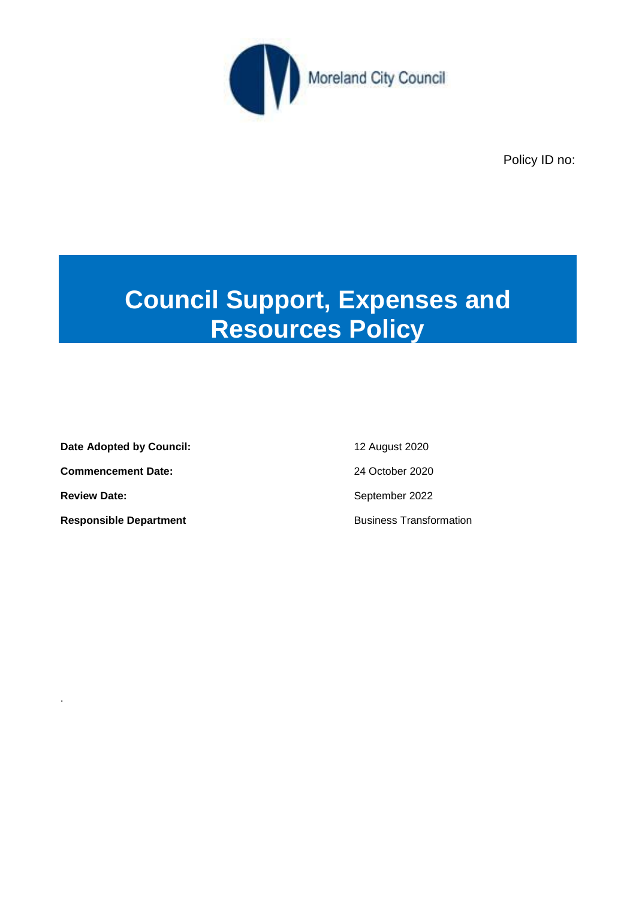

Policy ID no:

# **Council Support, Expenses and Resources Policy**

**Date Adopted by Council:** 12 August 2020 **Commencement Date:** 24 October 2020 **Review Date: September 2022** 

.

**Responsible Department Responsible Department**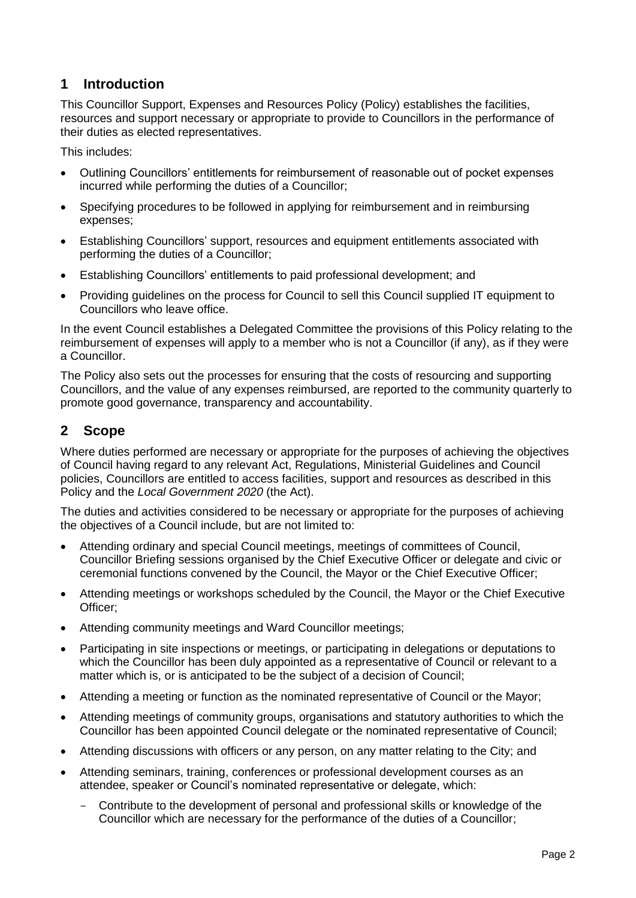# **1 Introduction**

This Councillor Support, Expenses and Resources Policy (Policy) establishes the facilities, resources and support necessary or appropriate to provide to Councillors in the performance of their duties as elected representatives.

This includes:

- Outlining Councillors' entitlements for reimbursement of reasonable out of pocket expenses incurred while performing the duties of a Councillor;
- Specifying procedures to be followed in applying for reimbursement and in reimbursing expenses;
- Establishing Councillors' support, resources and equipment entitlements associated with performing the duties of a Councillor;
- Establishing Councillors' entitlements to paid professional development; and
- Providing guidelines on the process for Council to sell this Council supplied IT equipment to Councillors who leave office.

In the event Council establishes a Delegated Committee the provisions of this Policy relating to the reimbursement of expenses will apply to a member who is not a Councillor (if any), as if they were a Councillor.

The Policy also sets out the processes for ensuring that the costs of resourcing and supporting Councillors, and the value of any expenses reimbursed, are reported to the community quarterly to promote good governance, transparency and accountability.

# **2 Scope**

Where duties performed are necessary or appropriate for the purposes of achieving the objectives of Council having regard to any relevant Act, Regulations, Ministerial Guidelines and Council policies, Councillors are entitled to access facilities, support and resources as described in this Policy and the *Local Government 2020* (the Act).

The duties and activities considered to be necessary or appropriate for the purposes of achieving the objectives of a Council include, but are not limited to:

- Attending ordinary and special Council meetings, meetings of committees of Council, Councillor Briefing sessions organised by the Chief Executive Officer or delegate and civic or ceremonial functions convened by the Council, the Mayor or the Chief Executive Officer;
- Attending meetings or workshops scheduled by the Council, the Mayor or the Chief Executive Officer;
- Attending community meetings and Ward Councillor meetings;
- Participating in site inspections or meetings, or participating in delegations or deputations to which the Councillor has been duly appointed as a representative of Council or relevant to a matter which is, or is anticipated to be the subject of a decision of Council;
- Attending a meeting or function as the nominated representative of Council or the Mayor;
- Attending meetings of community groups, organisations and statutory authorities to which the Councillor has been appointed Council delegate or the nominated representative of Council;
- Attending discussions with officers or any person, on any matter relating to the City; and
- Attending seminars, training, conferences or professional development courses as an attendee, speaker or Council's nominated representative or delegate, which:
	- Contribute to the development of personal and professional skills or knowledge of the Councillor which are necessary for the performance of the duties of a Councillor;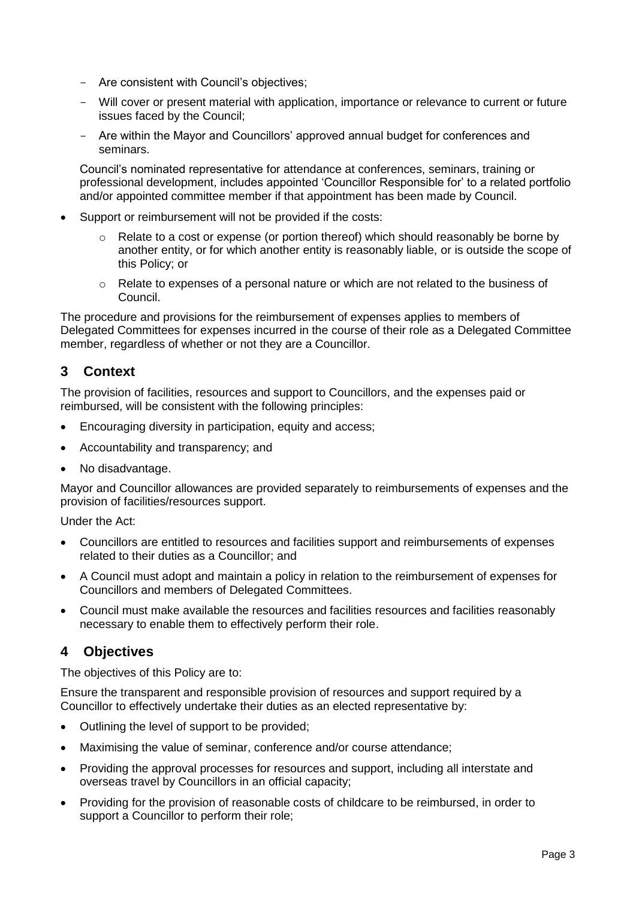- Are consistent with Council's objectives;
- Will cover or present material with application, importance or relevance to current or future issues faced by the Council;
- Are within the Mayor and Councillors' approved annual budget for conferences and seminars.

Council's nominated representative for attendance at conferences, seminars, training or professional development, includes appointed 'Councillor Responsible for' to a related portfolio and/or appointed committee member if that appointment has been made by Council.

- Support or reimbursement will not be provided if the costs:
	- $\circ$  Relate to a cost or expense (or portion thereof) which should reasonably be borne by another entity, or for which another entity is reasonably liable, or is outside the scope of this Policy; or
	- $\circ$  Relate to expenses of a personal nature or which are not related to the business of Council.

The procedure and provisions for the reimbursement of expenses applies to members of Delegated Committees for expenses incurred in the course of their role as a Delegated Committee member, regardless of whether or not they are a Councillor.

# **3 Context**

The provision of facilities, resources and support to Councillors, and the expenses paid or reimbursed, will be consistent with the following principles:

- Encouraging diversity in participation, equity and access;
- Accountability and transparency; and
- No disadvantage.

Mayor and Councillor allowances are provided separately to reimbursements of expenses and the provision of facilities/resources support.

Under the Act:

- Councillors are entitled to resources and facilities support and reimbursements of expenses related to their duties as a Councillor; and
- A Council must adopt and maintain a policy in relation to the reimbursement of expenses for Councillors and members of Delegated Committees.
- Council must make available the resources and facilities resources and facilities reasonably necessary to enable them to effectively perform their role.

# **4 Objectives**

The objectives of this Policy are to:

Ensure the transparent and responsible provision of resources and support required by a Councillor to effectively undertake their duties as an elected representative by:

- Outlining the level of support to be provided;
- Maximising the value of seminar, conference and/or course attendance;
- Providing the approval processes for resources and support, including all interstate and overseas travel by Councillors in an official capacity;
- Providing for the provision of reasonable costs of childcare to be reimbursed, in order to support a Councillor to perform their role;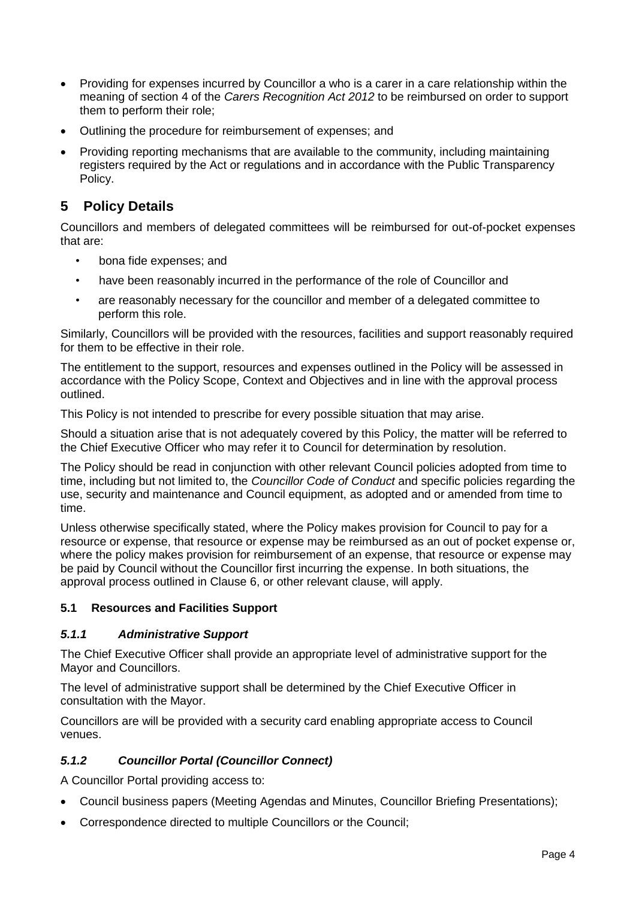- Providing for expenses incurred by Councillor a who is a carer in a care relationship within the meaning of section 4 of the *Carers Recognition Act 2012* to be reimbursed on order to support them to perform their role;
- Outlining the procedure for reimbursement of expenses; and
- Providing reporting mechanisms that are available to the community, including maintaining registers required by the Act or regulations and in accordance with the Public Transparency Policy.

# **5 Policy Details**

Councillors and members of delegated committees will be reimbursed for out-of-pocket expenses that are:

- bona fide expenses; and
- have been reasonably incurred in the performance of the role of Councillor and
- are reasonably necessary for the councillor and member of a delegated committee to perform this role.

Similarly, Councillors will be provided with the resources, facilities and support reasonably required for them to be effective in their role.

The entitlement to the support, resources and expenses outlined in the Policy will be assessed in accordance with the Policy Scope, Context and Objectives and in line with the approval process outlined.

This Policy is not intended to prescribe for every possible situation that may arise.

Should a situation arise that is not adequately covered by this Policy, the matter will be referred to the Chief Executive Officer who may refer it to Council for determination by resolution.

The Policy should be read in conjunction with other relevant Council policies adopted from time to time, including but not limited to, the *Councillor Code of Conduct* and specific policies regarding the use, security and maintenance and Council equipment, as adopted and or amended from time to time.

Unless otherwise specifically stated, where the Policy makes provision for Council to pay for a resource or expense, that resource or expense may be reimbursed as an out of pocket expense or, where the policy makes provision for reimbursement of an expense, that resource or expense may be paid by Council without the Councillor first incurring the expense. In both situations, the approval process outlined in Clause 6, or other relevant clause, will apply.

## **5.1 Resources and Facilities Support**

#### *5.1.1 Administrative Support*

The Chief Executive Officer shall provide an appropriate level of administrative support for the Mayor and Councillors.

The level of administrative support shall be determined by the Chief Executive Officer in consultation with the Mayor.

Councillors are will be provided with a security card enabling appropriate access to Council venues.

## *5.1.2 Councillor Portal (Councillor Connect)*

A Councillor Portal providing access to:

- Council business papers (Meeting Agendas and Minutes, Councillor Briefing Presentations);
- Correspondence directed to multiple Councillors or the Council;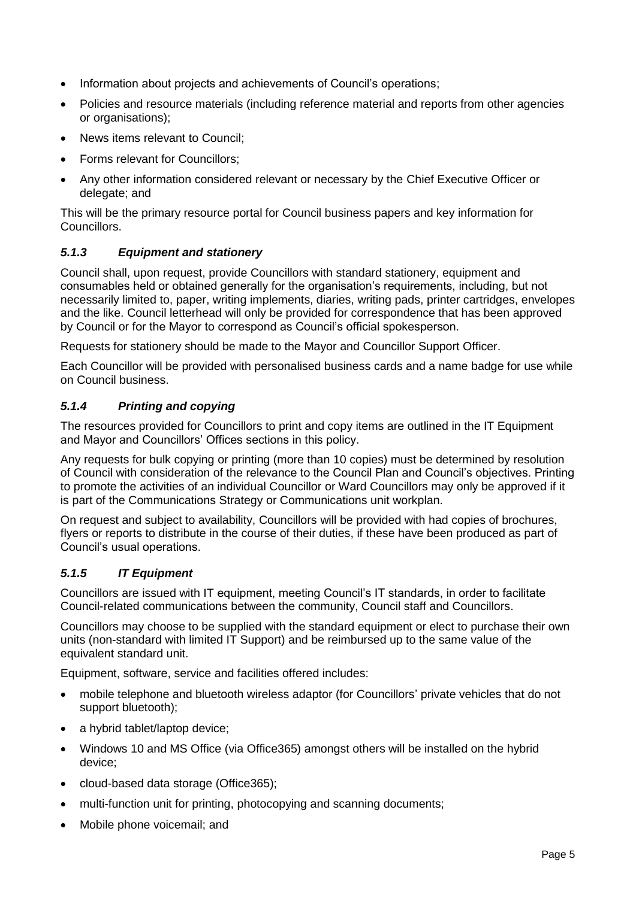- Information about projects and achievements of Council's operations;
- Policies and resource materials (including reference material and reports from other agencies or organisations);
- News items relevant to Council;
- Forms relevant for Councillors;
- Any other information considered relevant or necessary by the Chief Executive Officer or delegate; and

This will be the primary resource portal for Council business papers and key information for Councillors.

## *5.1.3 Equipment and stationery*

Council shall, upon request, provide Councillors with standard stationery, equipment and consumables held or obtained generally for the organisation's requirements, including, but not necessarily limited to, paper, writing implements, diaries, writing pads, printer cartridges, envelopes and the like. Council letterhead will only be provided for correspondence that has been approved by Council or for the Mayor to correspond as Council's official spokesperson.

Requests for stationery should be made to the Mayor and Councillor Support Officer.

Each Councillor will be provided with personalised business cards and a name badge for use while on Council business.

## *5.1.4 Printing and copying*

The resources provided for Councillors to print and copy items are outlined in the IT Equipment and Mayor and Councillors' Offices sections in this policy.

Any requests for bulk copying or printing (more than 10 copies) must be determined by resolution of Council with consideration of the relevance to the Council Plan and Council's objectives. Printing to promote the activities of an individual Councillor or Ward Councillors may only be approved if it is part of the Communications Strategy or Communications unit workplan.

On request and subject to availability, Councillors will be provided with had copies of brochures, flyers or reports to distribute in the course of their duties, if these have been produced as part of Council's usual operations.

## *5.1.5 IT Equipment*

Councillors are issued with IT equipment, meeting Council's IT standards, in order to facilitate Council-related communications between the community, Council staff and Councillors.

Councillors may choose to be supplied with the standard equipment or elect to purchase their own units (non-standard with limited IT Support) and be reimbursed up to the same value of the equivalent standard unit.

Equipment, software, service and facilities offered includes:

- mobile telephone and bluetooth wireless adaptor (for Councillors' private vehicles that do not support bluetooth);
- a hybrid tablet/laptop device;
- Windows 10 and MS Office (via Office365) amongst others will be installed on the hybrid device;
- cloud-based data storage (Office365);
- multi-function unit for printing, photocopying and scanning documents;
- Mobile phone voicemail; and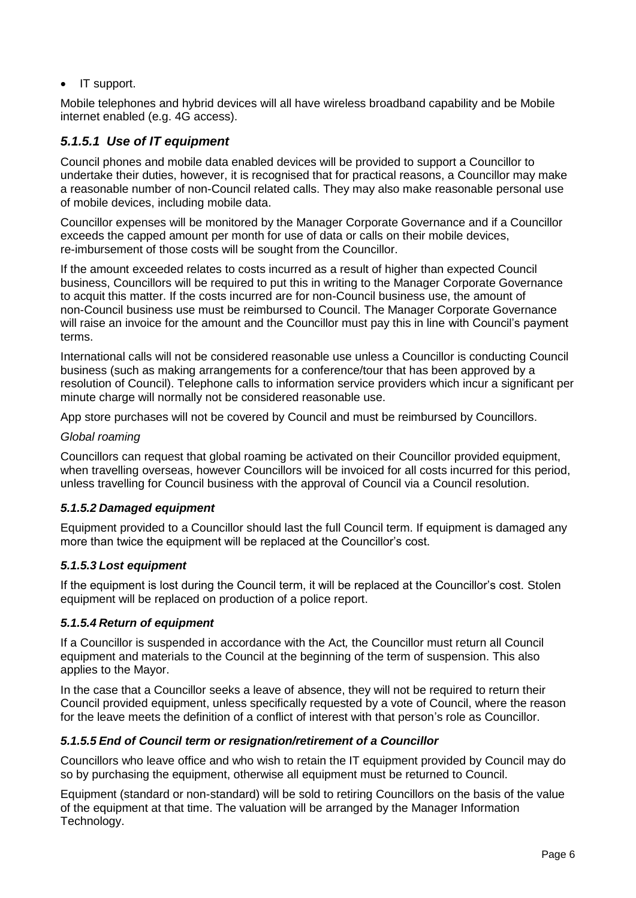• IT support.

Mobile telephones and hybrid devices will all have wireless broadband capability and be Mobile internet enabled (e.g. 4G access).

## *5.1.5.1 Use of IT equipment*

Council phones and mobile data enabled devices will be provided to support a Councillor to undertake their duties, however, it is recognised that for practical reasons, a Councillor may make a reasonable number of non-Council related calls. They may also make reasonable personal use of mobile devices, including mobile data.

Councillor expenses will be monitored by the Manager Corporate Governance and if a Councillor exceeds the capped amount per month for use of data or calls on their mobile devices, re-imbursement of those costs will be sought from the Councillor.

If the amount exceeded relates to costs incurred as a result of higher than expected Council business, Councillors will be required to put this in writing to the Manager Corporate Governance to acquit this matter. If the costs incurred are for non-Council business use, the amount of non-Council business use must be reimbursed to Council. The Manager Corporate Governance will raise an invoice for the amount and the Councillor must pay this in line with Council's payment terms.

International calls will not be considered reasonable use unless a Councillor is conducting Council business (such as making arrangements for a conference/tour that has been approved by a resolution of Council). Telephone calls to information service providers which incur a significant per minute charge will normally not be considered reasonable use.

App store purchases will not be covered by Council and must be reimbursed by Councillors.

#### *Global roaming*

Councillors can request that global roaming be activated on their Councillor provided equipment, when travelling overseas, however Councillors will be invoiced for all costs incurred for this period, unless travelling for Council business with the approval of Council via a Council resolution.

#### *5.1.5.2 Damaged equipment*

Equipment provided to a Councillor should last the full Council term. If equipment is damaged any more than twice the equipment will be replaced at the Councillor's cost.

#### *5.1.5.3 Lost equipment*

If the equipment is lost during the Council term, it will be replaced at the Councillor's cost. Stolen equipment will be replaced on production of a police report.

#### *5.1.5.4 Return of equipment*

If a Councillor is suspended in accordance with the Act*,* the Councillor must return all Council equipment and materials to the Council at the beginning of the term of suspension. This also applies to the Mayor.

In the case that a Councillor seeks a leave of absence, they will not be required to return their Council provided equipment, unless specifically requested by a vote of Council, where the reason for the leave meets the definition of a conflict of interest with that person's role as Councillor.

#### *5.1.5.5 End of Council term or resignation/retirement of a Councillor*

Councillors who leave office and who wish to retain the IT equipment provided by Council may do so by purchasing the equipment, otherwise all equipment must be returned to Council.

Equipment (standard or non-standard) will be sold to retiring Councillors on the basis of the value of the equipment at that time. The valuation will be arranged by the Manager Information Technology.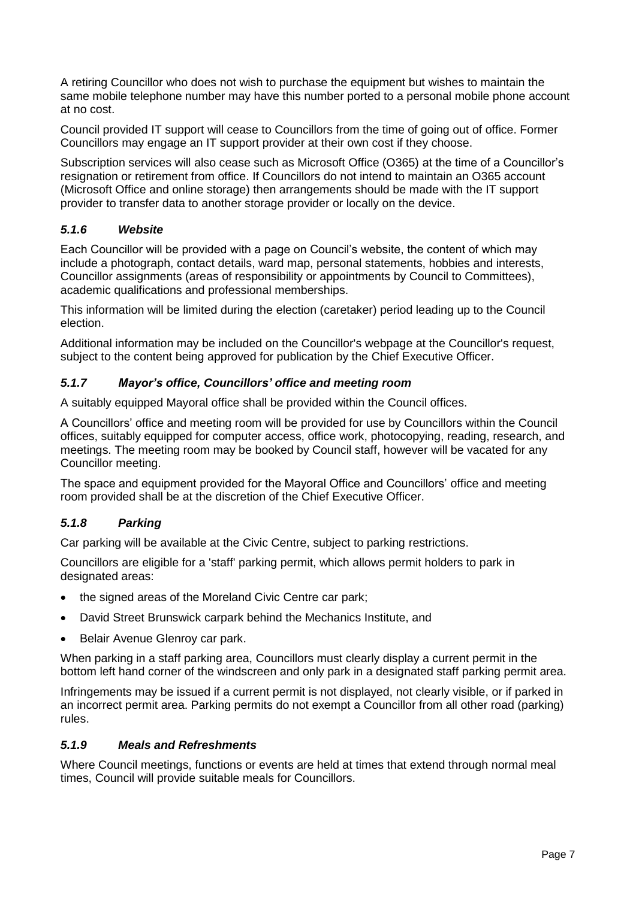A retiring Councillor who does not wish to purchase the equipment but wishes to maintain the same mobile telephone number may have this number ported to a personal mobile phone account at no cost.

Council provided IT support will cease to Councillors from the time of going out of office. Former Councillors may engage an IT support provider at their own cost if they choose.

Subscription services will also cease such as Microsoft Office (O365) at the time of a Councillor's resignation or retirement from office. If Councillors do not intend to maintain an O365 account (Microsoft Office and online storage) then arrangements should be made with the IT support provider to transfer data to another storage provider or locally on the device.

## *5.1.6 Website*

Each Councillor will be provided with a page on Council's website, the content of which may include a photograph, contact details, ward map, personal statements, hobbies and interests, Councillor assignments (areas of responsibility or appointments by Council to Committees), academic qualifications and professional memberships.

This information will be limited during the election (caretaker) period leading up to the Council election.

Additional information may be included on the Councillor's webpage at the Councillor's request, subject to the content being approved for publication by the Chief Executive Officer.

#### *5.1.7 Mayor's office, Councillors' office and meeting room*

A suitably equipped Mayoral office shall be provided within the Council offices.

A Councillors' office and meeting room will be provided for use by Councillors within the Council offices, suitably equipped for computer access, office work, photocopying, reading, research, and meetings. The meeting room may be booked by Council staff, however will be vacated for any Councillor meeting.

The space and equipment provided for the Mayoral Office and Councillors' office and meeting room provided shall be at the discretion of the Chief Executive Officer.

#### *5.1.8 Parking*

Car parking will be available at the Civic Centre, subject to parking restrictions.

Councillors are eligible for a 'staff' parking permit, which allows permit holders to park in designated areas:

- the signed areas of the Moreland Civic Centre car park;
- David Street Brunswick carpark behind the Mechanics Institute, and
- Belair Avenue Glenroy car park.

When parking in a staff parking area, Councillors must clearly display a current permit in the bottom left hand corner of the windscreen and only park in a designated staff parking permit area.

Infringements may be issued if a current permit is not displayed, not clearly visible, or if parked in an incorrect permit area. Parking permits do not exempt a Councillor from all other road (parking) rules.

#### *5.1.9 Meals and Refreshments*

Where Council meetings, functions or events are held at times that extend through normal meal times, Council will provide suitable meals for Councillors.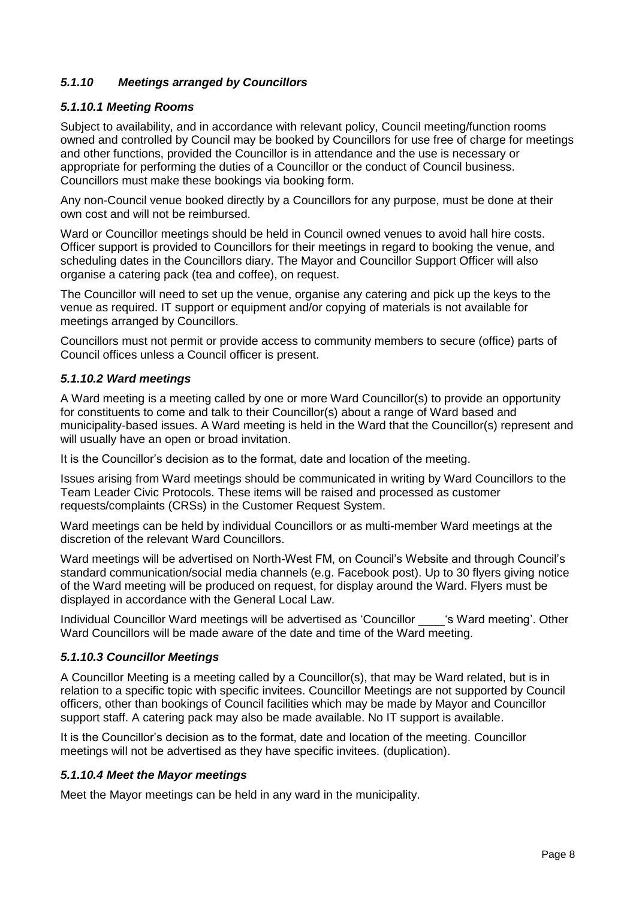## *5.1.10 Meetings arranged by Councillors*

#### *5.1.10.1 Meeting Rooms*

Subject to availability, and in accordance with relevant policy, Council meeting/function rooms owned and controlled by Council may be booked by Councillors for use free of charge for meetings and other functions, provided the Councillor is in attendance and the use is necessary or appropriate for performing the duties of a Councillor or the conduct of Council business. Councillors must make these bookings via booking form.

Any non-Council venue booked directly by a Councillors for any purpose, must be done at their own cost and will not be reimbursed.

Ward or Councillor meetings should be held in Council owned venues to avoid hall hire costs. Officer support is provided to Councillors for their meetings in regard to booking the venue, and scheduling dates in the Councillors diary. The Mayor and Councillor Support Officer will also organise a catering pack (tea and coffee), on request.

The Councillor will need to set up the venue, organise any catering and pick up the keys to the venue as required. IT support or equipment and/or copying of materials is not available for meetings arranged by Councillors.

Councillors must not permit or provide access to community members to secure (office) parts of Council offices unless a Council officer is present.

#### *5.1.10.2 Ward meetings*

A Ward meeting is a meeting called by one or more Ward Councillor(s) to provide an opportunity for constituents to come and talk to their Councillor(s) about a range of Ward based and municipality-based issues. A Ward meeting is held in the Ward that the Councillor(s) represent and will usually have an open or broad invitation.

It is the Councillor's decision as to the format, date and location of the meeting.

Issues arising from Ward meetings should be communicated in writing by Ward Councillors to the Team Leader Civic Protocols. These items will be raised and processed as customer requests/complaints (CRSs) in the Customer Request System.

Ward meetings can be held by individual Councillors or as multi-member Ward meetings at the discretion of the relevant Ward Councillors.

Ward meetings will be advertised on North-West FM, on Council's Website and through Council's standard communication/social media channels (e.g. Facebook post). Up to 30 flyers giving notice of the Ward meeting will be produced on request, for display around the Ward. Flyers must be displayed in accordance with the General Local Law.

Individual Councillor Ward meetings will be advertised as 'Councillor 's Ward meeting'. Other Ward Councillors will be made aware of the date and time of the Ward meeting.

#### *5.1.10.3 Councillor Meetings*

A Councillor Meeting is a meeting called by a Councillor(s), that may be Ward related, but is in relation to a specific topic with specific invitees. Councillor Meetings are not supported by Council officers, other than bookings of Council facilities which may be made by Mayor and Councillor support staff. A catering pack may also be made available. No IT support is available.

It is the Councillor's decision as to the format, date and location of the meeting. Councillor meetings will not be advertised as they have specific invitees. (duplication).

#### *5.1.10.4 Meet the Mayor meetings*

Meet the Mayor meetings can be held in any ward in the municipality.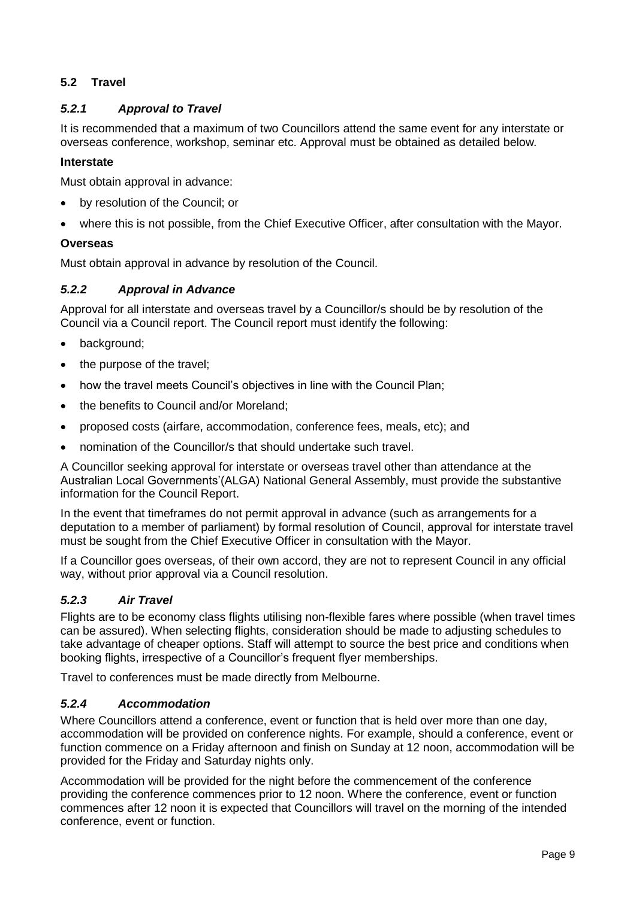## **5.2 Travel**

## *5.2.1 Approval to Travel*

It is recommended that a maximum of two Councillors attend the same event for any interstate or overseas conference, workshop, seminar etc. Approval must be obtained as detailed below*.* 

#### **Interstate**

Must obtain approval in advance:

- by resolution of the Council; or
- where this is not possible, from the Chief Executive Officer, after consultation with the Mayor.

#### **Overseas**

Must obtain approval in advance by resolution of the Council.

## *5.2.2 Approval in Advance*

Approval for all interstate and overseas travel by a Councillor/s should be by resolution of the Council via a Council report. The Council report must identify the following:

- background;
- the purpose of the travel;
- how the travel meets Council's objectives in line with the Council Plan;
- the benefits to Council and/or Moreland:
- proposed costs (airfare, accommodation, conference fees, meals, etc); and
- nomination of the Councillor/s that should undertake such travel.

A Councillor seeking approval for interstate or overseas travel other than attendance at the Australian Local Governments'(ALGA) National General Assembly, must provide the substantive information for the Council Report.

In the event that timeframes do not permit approval in advance (such as arrangements for a deputation to a member of parliament) by formal resolution of Council, approval for interstate travel must be sought from the Chief Executive Officer in consultation with the Mayor.

If a Councillor goes overseas, of their own accord, they are not to represent Council in any official way, without prior approval via a Council resolution.

## *5.2.3 Air Travel*

Flights are to be economy class flights utilising non-flexible fares where possible (when travel times can be assured). When selecting flights, consideration should be made to adjusting schedules to take advantage of cheaper options. Staff will attempt to source the best price and conditions when booking flights, irrespective of a Councillor's frequent flyer memberships.

Travel to conferences must be made directly from Melbourne.

#### *5.2.4 Accommodation*

Where Councillors attend a conference, event or function that is held over more than one day, accommodation will be provided on conference nights. For example, should a conference, event or function commence on a Friday afternoon and finish on Sunday at 12 noon, accommodation will be provided for the Friday and Saturday nights only.

Accommodation will be provided for the night before the commencement of the conference providing the conference commences prior to 12 noon. Where the conference, event or function commences after 12 noon it is expected that Councillors will travel on the morning of the intended conference, event or function.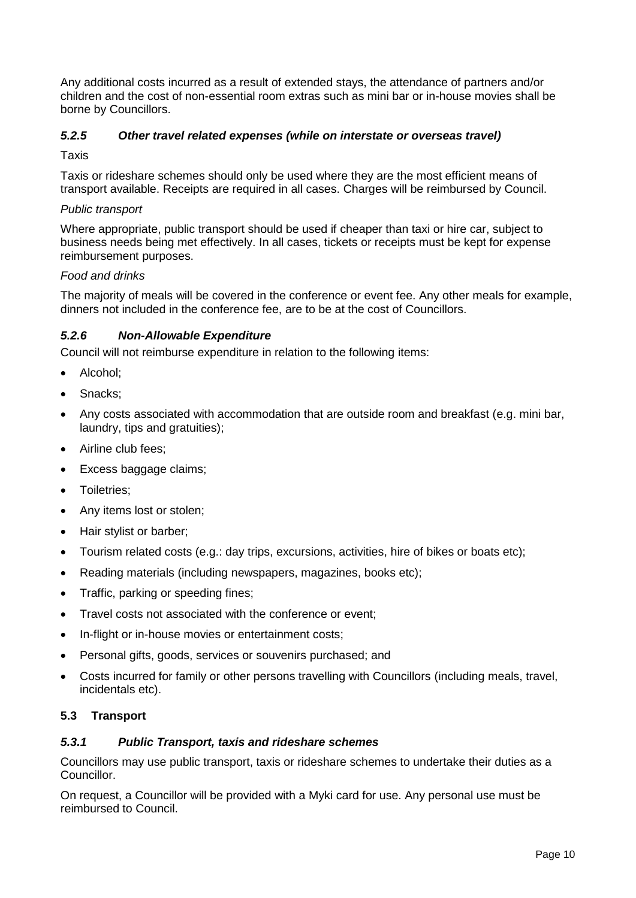Any additional costs incurred as a result of extended stays, the attendance of partners and/or children and the cost of non-essential room extras such as mini bar or in-house movies shall be borne by Councillors.

## *5.2.5 Other travel related expenses (while on interstate or overseas travel)*

#### **Taxis**

Taxis or rideshare schemes should only be used where they are the most efficient means of transport available. Receipts are required in all cases. Charges will be reimbursed by Council.

#### *Public transport*

Where appropriate, public transport should be used if cheaper than taxi or hire car, subject to business needs being met effectively. In all cases, tickets or receipts must be kept for expense reimbursement purposes.

#### *Food and drinks*

The majority of meals will be covered in the conference or event fee. Any other meals for example, dinners not included in the conference fee, are to be at the cost of Councillors.

#### *5.2.6 Non-Allowable Expenditure*

Council will not reimburse expenditure in relation to the following items:

- Alcohol;
- Snacks;
- Any costs associated with accommodation that are outside room and breakfast (e.g. mini bar, laundry, tips and gratuities);
- Airline club fees;
- Excess baggage claims;
- Toiletries;
- Any items lost or stolen;
- Hair stylist or barber;
- Tourism related costs (e.g.: day trips, excursions, activities, hire of bikes or boats etc);
- Reading materials (including newspapers, magazines, books etc);
- Traffic, parking or speeding fines;
- Travel costs not associated with the conference or event;
- In-flight or in-house movies or entertainment costs;
- Personal gifts, goods, services or souvenirs purchased; and
- Costs incurred for family or other persons travelling with Councillors (including meals, travel, incidentals etc).

#### **5.3 Transport**

#### *5.3.1 Public Transport, taxis and rideshare schemes*

Councillors may use public transport, taxis or rideshare schemes to undertake their duties as a Councillor.

On request, a Councillor will be provided with a Myki card for use. Any personal use must be reimbursed to Council.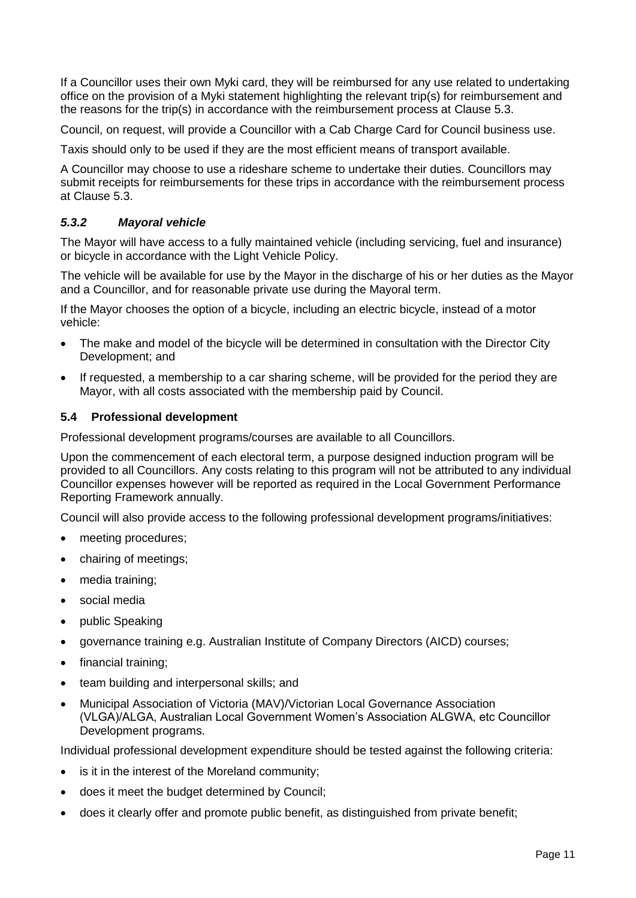If a Councillor uses their own Myki card, they will be reimbursed for any use related to undertaking office on the provision of a Myki statement highlighting the relevant trip(s) for reimbursement and the reasons for the trip(s) in accordance with the reimbursement process at Clause 5.3.

Council, on request, will provide a Councillor with a Cab Charge Card for Council business use.

Taxis should only to be used if they are the most efficient means of transport available.

A Councillor may choose to use a rideshare scheme to undertake their duties. Councillors may submit receipts for reimbursements for these trips in accordance with the reimbursement process at Clause 5.3.

## *5.3.2 Mayoral vehicle*

The Mayor will have access to a fully maintained vehicle (including servicing, fuel and insurance) or bicycle in accordance with the Light Vehicle Policy.

The vehicle will be available for use by the Mayor in the discharge of his or her duties as the Mayor and a Councillor, and for reasonable private use during the Mayoral term.

If the Mayor chooses the option of a bicycle, including an electric bicycle, instead of a motor vehicle:

- The make and model of the bicycle will be determined in consultation with the Director City Development; and
- If requested, a membership to a car sharing scheme, will be provided for the period they are Mayor, with all costs associated with the membership paid by Council.

#### **5.4 Professional development**

Professional development programs/courses are available to all Councillors.

Upon the commencement of each electoral term, a purpose designed induction program will be provided to all Councillors. Any costs relating to this program will not be attributed to any individual Councillor expenses however will be reported as required in the Local Government Performance Reporting Framework annually.

Council will also provide access to the following professional development programs/initiatives:

- meeting procedures:
- chairing of meetings;
- media training;
- social media
- public Speaking
- governance training e.g. Australian Institute of Company Directors (AICD) courses;
- financial training;
- team building and interpersonal skills; and
- Municipal Association of Victoria (MAV)/Victorian Local Governance Association (VLGA)/ALGA, Australian Local Government Women's Association ALGWA, etc Councillor Development programs.

Individual professional development expenditure should be tested against the following criteria:

- is it in the interest of the Moreland community;
- does it meet the budget determined by Council;
- does it clearly offer and promote public benefit, as distinguished from private benefit;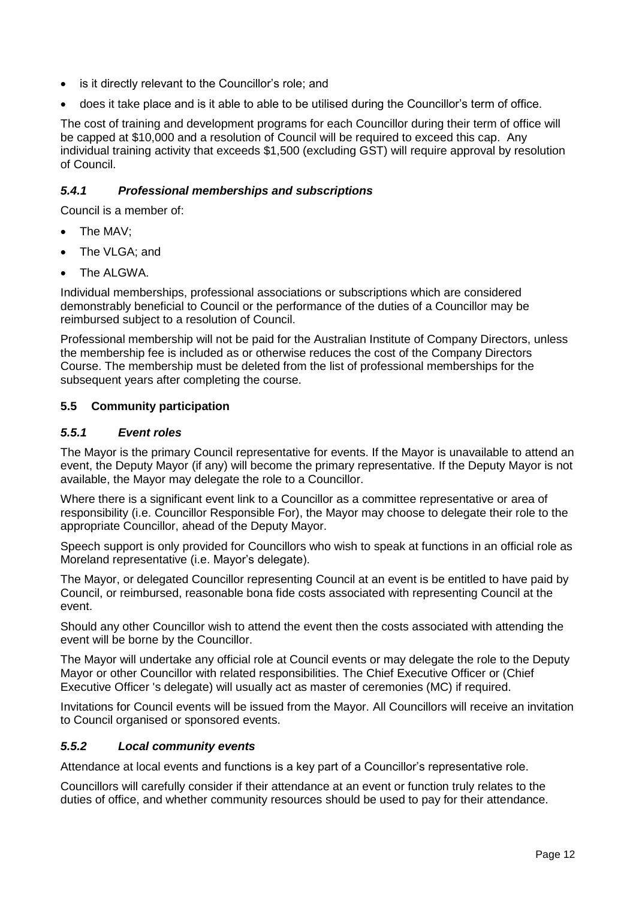- is it directly relevant to the Councillor's role; and
- does it take place and is it able to able to be utilised during the Councillor's term of office.

The cost of training and development programs for each Councillor during their term of office will be capped at \$10,000 and a resolution of Council will be required to exceed this cap. Any individual training activity that exceeds \$1,500 (excluding GST) will require approval by resolution of Council.

#### *5.4.1 Professional memberships and subscriptions*

Council is a member of:

- The MAV<sup>.</sup>
- The VLGA; and
- The ALGWA.

Individual memberships, professional associations or subscriptions which are considered demonstrably beneficial to Council or the performance of the duties of a Councillor may be reimbursed subject to a resolution of Council.

Professional membership will not be paid for the Australian Institute of Company Directors, unless the membership fee is included as or otherwise reduces the cost of the Company Directors Course. The membership must be deleted from the list of professional memberships for the subsequent years after completing the course.

#### **5.5 Community participation**

#### *5.5.1 Event roles*

The Mayor is the primary Council representative for events. If the Mayor is unavailable to attend an event, the Deputy Mayor (if any) will become the primary representative. If the Deputy Mayor is not available, the Mayor may delegate the role to a Councillor.

Where there is a significant event link to a Councillor as a committee representative or area of responsibility (i.e. Councillor Responsible For), the Mayor may choose to delegate their role to the appropriate Councillor, ahead of the Deputy Mayor.

Speech support is only provided for Councillors who wish to speak at functions in an official role as Moreland representative (i.e. Mayor's delegate).

The Mayor, or delegated Councillor representing Council at an event is be entitled to have paid by Council, or reimbursed, reasonable bona fide costs associated with representing Council at the event.

Should any other Councillor wish to attend the event then the costs associated with attending the event will be borne by the Councillor.

The Mayor will undertake any official role at Council events or may delegate the role to the Deputy Mayor or other Councillor with related responsibilities. The Chief Executive Officer or (Chief Executive Officer 's delegate) will usually act as master of ceremonies (MC) if required.

Invitations for Council events will be issued from the Mayor. All Councillors will receive an invitation to Council organised or sponsored events.

#### *5.5.2 Local community events*

Attendance at local events and functions is a key part of a Councillor's representative role.

Councillors will carefully consider if their attendance at an event or function truly relates to the duties of office, and whether community resources should be used to pay for their attendance.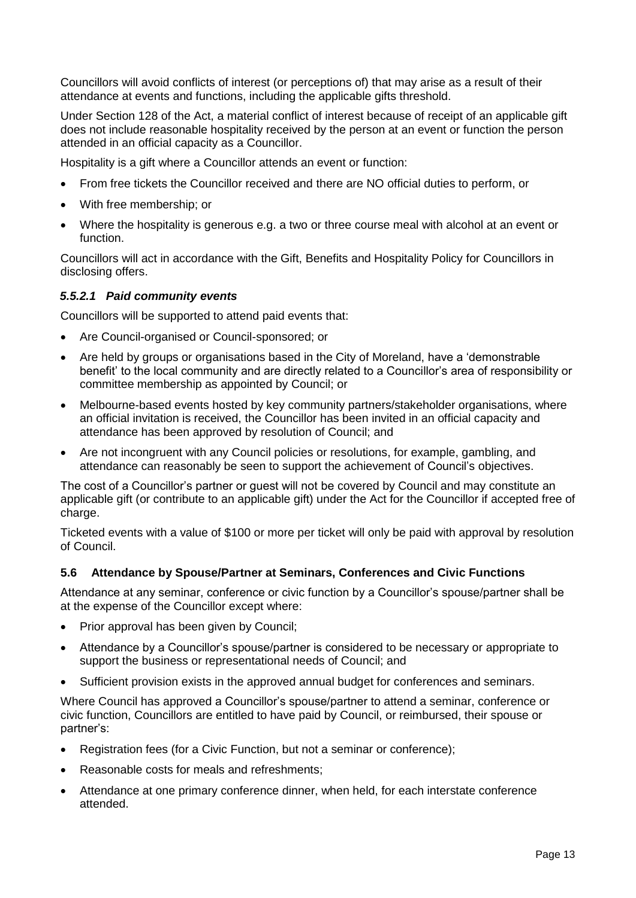Councillors will avoid conflicts of interest (or perceptions of) that may arise as a result of their attendance at events and functions, including the applicable gifts threshold.

Under Section 128 of the Act, a material conflict of interest because of receipt of an applicable gift does not include reasonable hospitality received by the person at an event or function the person attended in an official capacity as a Councillor.

Hospitality is a gift where a Councillor attends an event or function:

- From free tickets the Councillor received and there are NO official duties to perform, or
- With free membership; or
- Where the hospitality is generous e.g. a two or three course meal with alcohol at an event or function.

Councillors will act in accordance with the Gift, Benefits and Hospitality Policy for Councillors in disclosing offers.

#### *5.5.2.1 Paid community events*

Councillors will be supported to attend paid events that:

- Are Council-organised or Council-sponsored; or
- Are held by groups or organisations based in the City of Moreland, have a 'demonstrable benefit' to the local community and are directly related to a Councillor's area of responsibility or committee membership as appointed by Council; or
- Melbourne-based events hosted by key community partners/stakeholder organisations, where an official invitation is received, the Councillor has been invited in an official capacity and attendance has been approved by resolution of Council; and
- Are not incongruent with any Council policies or resolutions, for example, gambling, and attendance can reasonably be seen to support the achievement of Council's objectives.

The cost of a Councillor's partner or guest will not be covered by Council and may constitute an applicable gift (or contribute to an applicable gift) under the Act for the Councillor if accepted free of charge.

Ticketed events with a value of \$100 or more per ticket will only be paid with approval by resolution of Council.

## **5.6 Attendance by Spouse/Partner at Seminars, Conferences and Civic Functions**

Attendance at any seminar, conference or civic function by a Councillor's spouse/partner shall be at the expense of the Councillor except where:

- Prior approval has been given by Council;
- Attendance by a Councillor's spouse/partner is considered to be necessary or appropriate to support the business or representational needs of Council; and
- Sufficient provision exists in the approved annual budget for conferences and seminars.

Where Council has approved a Councillor's spouse/partner to attend a seminar, conference or civic function, Councillors are entitled to have paid by Council, or reimbursed, their spouse or partner's:

- Registration fees (for a Civic Function, but not a seminar or conference);
- Reasonable costs for meals and refreshments;
- Attendance at one primary conference dinner, when held, for each interstate conference attended.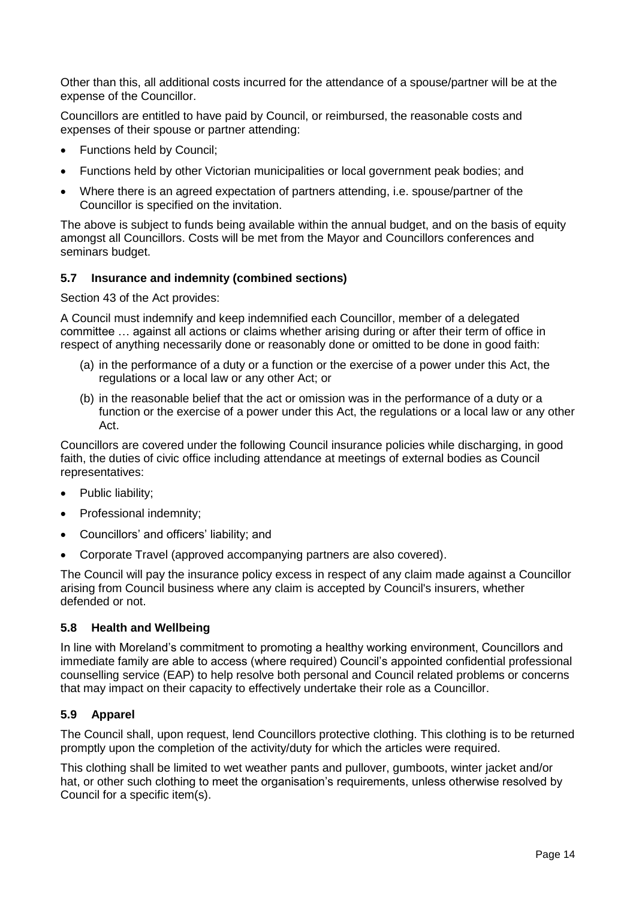Other than this, all additional costs incurred for the attendance of a spouse/partner will be at the expense of the Councillor.

Councillors are entitled to have paid by Council, or reimbursed, the reasonable costs and expenses of their spouse or partner attending:

- Functions held by Council;
- Functions held by other Victorian municipalities or local government peak bodies; and
- Where there is an agreed expectation of partners attending, i.e. spouse/partner of the Councillor is specified on the invitation.

The above is subject to funds being available within the annual budget, and on the basis of equity amongst all Councillors. Costs will be met from the Mayor and Councillors conferences and seminars budget.

#### **5.7 Insurance and indemnity (combined sections)**

Section 43 of the Act provides:

A Council must indemnify and keep indemnified each Councillor, member of a delegated committee … against all actions or claims whether arising during or after their term of office in respect of anything necessarily done or reasonably done or omitted to be done in good faith:

- (a) in the performance of a duty or a function or the exercise of a power under this Act, the regulations or a local law or any other Act; or
- (b) in the reasonable belief that the act or omission was in the performance of a duty or a function or the exercise of a power under this Act, the regulations or a local law or any other Act.

Councillors are covered under the following Council insurance policies while discharging, in good faith, the duties of civic office including attendance at meetings of external bodies as Council representatives:

- Public liability;
- Professional indemnity:
- Councillors' and officers' liability; and
- Corporate Travel (approved accompanying partners are also covered).

The Council will pay the insurance policy excess in respect of any claim made against a Councillor arising from Council business where any claim is accepted by Council's insurers, whether defended or not.

#### **5.8 Health and Wellbeing**

In line with Moreland's commitment to promoting a healthy working environment, Councillors and immediate family are able to access (where required) Council's appointed confidential professional counselling service (EAP) to help resolve both personal and Council related problems or concerns that may impact on their capacity to effectively undertake their role as a Councillor.

## **5.9 Apparel**

The Council shall, upon request, lend Councillors protective clothing. This clothing is to be returned promptly upon the completion of the activity/duty for which the articles were required.

This clothing shall be limited to wet weather pants and pullover, gumboots, winter jacket and/or hat, or other such clothing to meet the organisation's requirements, unless otherwise resolved by Council for a specific item(s).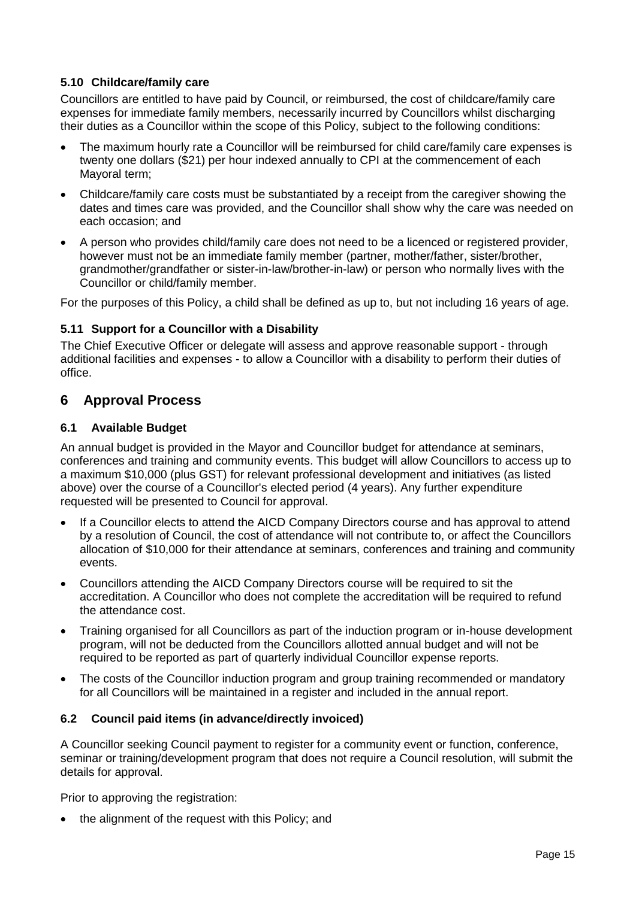## **5.10 Childcare/family care**

Councillors are entitled to have paid by Council, or reimbursed, the cost of childcare/family care expenses for immediate family members, necessarily incurred by Councillors whilst discharging their duties as a Councillor within the scope of this Policy, subject to the following conditions:

- The maximum hourly rate a Councillor will be reimbursed for child care/family care expenses is twenty one dollars (\$21) per hour indexed annually to CPI at the commencement of each Mayoral term;
- Childcare/family care costs must be substantiated by a receipt from the caregiver showing the dates and times care was provided, and the Councillor shall show why the care was needed on each occasion; and
- A person who provides child/family care does not need to be a licenced or registered provider. however must not be an immediate family member (partner, mother/father, sister/brother, grandmother/grandfather or sister-in-law/brother-in-law) or person who normally lives with the Councillor or child/family member.

For the purposes of this Policy, a child shall be defined as up to, but not including 16 years of age.

## **5.11 Support for a Councillor with a Disability**

The Chief Executive Officer or delegate will assess and approve reasonable support - through additional facilities and expenses - to allow a Councillor with a disability to perform their duties of office.

## **6 Approval Process**

#### **6.1 Available Budget**

An annual budget is provided in the Mayor and Councillor budget for attendance at seminars, conferences and training and community events. This budget will allow Councillors to access up to a maximum \$10,000 (plus GST) for relevant professional development and initiatives (as listed above) over the course of a Councillor's elected period (4 years). Any further expenditure requested will be presented to Council for approval.

- If a Councillor elects to attend the AICD Company Directors course and has approval to attend by a resolution of Council, the cost of attendance will not contribute to, or affect the Councillors allocation of \$10,000 for their attendance at seminars, conferences and training and community events.
- Councillors attending the AICD Company Directors course will be required to sit the accreditation. A Councillor who does not complete the accreditation will be required to refund the attendance cost.
- Training organised for all Councillors as part of the induction program or in-house development program, will not be deducted from the Councillors allotted annual budget and will not be required to be reported as part of quarterly individual Councillor expense reports.
- The costs of the Councillor induction program and group training recommended or mandatory for all Councillors will be maintained in a register and included in the annual report.

#### **6.2 Council paid items (in advance/directly invoiced)**

A Councillor seeking Council payment to register for a community event or function, conference, seminar or training/development program that does not require a Council resolution, will submit the details for approval.

Prior to approving the registration:

• the alignment of the request with this Policy; and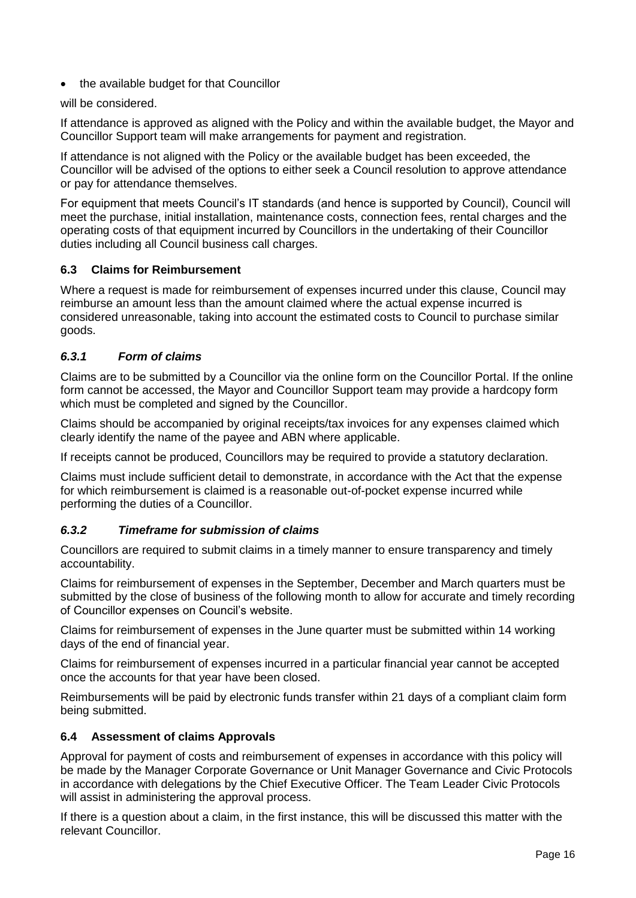• the available budget for that Councillor

will be considered.

If attendance is approved as aligned with the Policy and within the available budget, the Mayor and Councillor Support team will make arrangements for payment and registration.

If attendance is not aligned with the Policy or the available budget has been exceeded, the Councillor will be advised of the options to either seek a Council resolution to approve attendance or pay for attendance themselves.

For equipment that meets Council's IT standards (and hence is supported by Council), Council will meet the purchase, initial installation, maintenance costs, connection fees, rental charges and the operating costs of that equipment incurred by Councillors in the undertaking of their Councillor duties including all Council business call charges.

## **6.3 Claims for Reimbursement**

Where a request is made for reimbursement of expenses incurred under this clause, Council may reimburse an amount less than the amount claimed where the actual expense incurred is considered unreasonable, taking into account the estimated costs to Council to purchase similar goods.

#### *6.3.1 Form of claims*

Claims are to be submitted by a Councillor via the online form on the Councillor Portal. If the online form cannot be accessed, the Mayor and Councillor Support team may provide a hardcopy form which must be completed and signed by the Councillor.

Claims should be accompanied by original receipts/tax invoices for any expenses claimed which clearly identify the name of the payee and ABN where applicable.

If receipts cannot be produced, Councillors may be required to provide a statutory declaration.

Claims must include sufficient detail to demonstrate, in accordance with the Act that the expense for which reimbursement is claimed is a reasonable out-of-pocket expense incurred while performing the duties of a Councillor.

#### *6.3.2 Timeframe for submission of claims*

Councillors are required to submit claims in a timely manner to ensure transparency and timely accountability.

Claims for reimbursement of expenses in the September, December and March quarters must be submitted by the close of business of the following month to allow for accurate and timely recording of Councillor expenses on Council's website.

Claims for reimbursement of expenses in the June quarter must be submitted within 14 working days of the end of financial year.

Claims for reimbursement of expenses incurred in a particular financial year cannot be accepted once the accounts for that year have been closed.

Reimbursements will be paid by electronic funds transfer within 21 days of a compliant claim form being submitted.

#### **6.4 Assessment of claims Approvals**

Approval for payment of costs and reimbursement of expenses in accordance with this policy will be made by the Manager Corporate Governance or Unit Manager Governance and Civic Protocols in accordance with delegations by the Chief Executive Officer. The Team Leader Civic Protocols will assist in administering the approval process.

If there is a question about a claim, in the first instance, this will be discussed this matter with the relevant Councillor.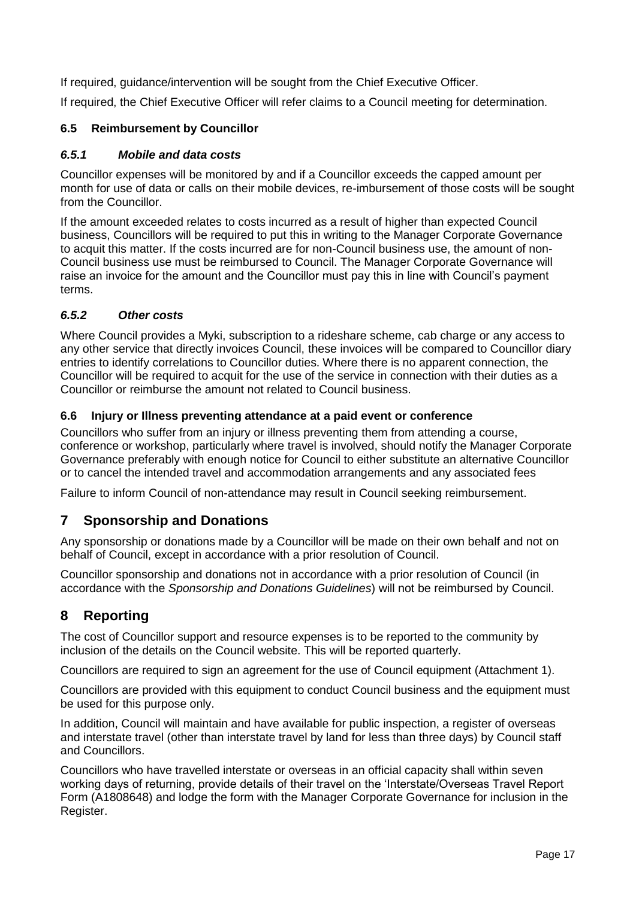If required, guidance/intervention will be sought from the Chief Executive Officer.

If required, the Chief Executive Officer will refer claims to a Council meeting for determination.

## **6.5 Reimbursement by Councillor**

#### *6.5.1 Mobile and data costs*

Councillor expenses will be monitored by and if a Councillor exceeds the capped amount per month for use of data or calls on their mobile devices, re-imbursement of those costs will be sought from the Councillor.

If the amount exceeded relates to costs incurred as a result of higher than expected Council business, Councillors will be required to put this in writing to the Manager Corporate Governance to acquit this matter. If the costs incurred are for non-Council business use, the amount of non-Council business use must be reimbursed to Council. The Manager Corporate Governance will raise an invoice for the amount and the Councillor must pay this in line with Council's payment terms.

## *6.5.2 Other costs*

Where Council provides a Myki, subscription to a rideshare scheme, cab charge or any access to any other service that directly invoices Council, these invoices will be compared to Councillor diary entries to identify correlations to Councillor duties. Where there is no apparent connection, the Councillor will be required to acquit for the use of the service in connection with their duties as a Councillor or reimburse the amount not related to Council business.

#### **6.6 Injury or Illness preventing attendance at a paid event or conference**

Councillors who suffer from an injury or illness preventing them from attending a course, conference or workshop, particularly where travel is involved, should notify the Manager Corporate Governance preferably with enough notice for Council to either substitute an alternative Councillor or to cancel the intended travel and accommodation arrangements and any associated fees

Failure to inform Council of non-attendance may result in Council seeking reimbursement.

## **7 Sponsorship and Donations**

Any sponsorship or donations made by a Councillor will be made on their own behalf and not on behalf of Council, except in accordance with a prior resolution of Council.

Councillor sponsorship and donations not in accordance with a prior resolution of Council (in accordance with the *Sponsorship and Donations Guidelines*) will not be reimbursed by Council.

# **8 Reporting**

The cost of Councillor support and resource expenses is to be reported to the community by inclusion of the details on the Council website. This will be reported quarterly.

Councillors are required to sign an agreement for the use of Council equipment (Attachment 1).

Councillors are provided with this equipment to conduct Council business and the equipment must be used for this purpose only.

In addition, Council will maintain and have available for public inspection, a register of overseas and interstate travel (other than interstate travel by land for less than three days) by Council staff and Councillors.

Councillors who have travelled interstate or overseas in an official capacity shall within seven working days of returning, provide details of their travel on the 'Interstate/Overseas Travel Report Form (A1808648) and lodge the form with the Manager Corporate Governance for inclusion in the Register.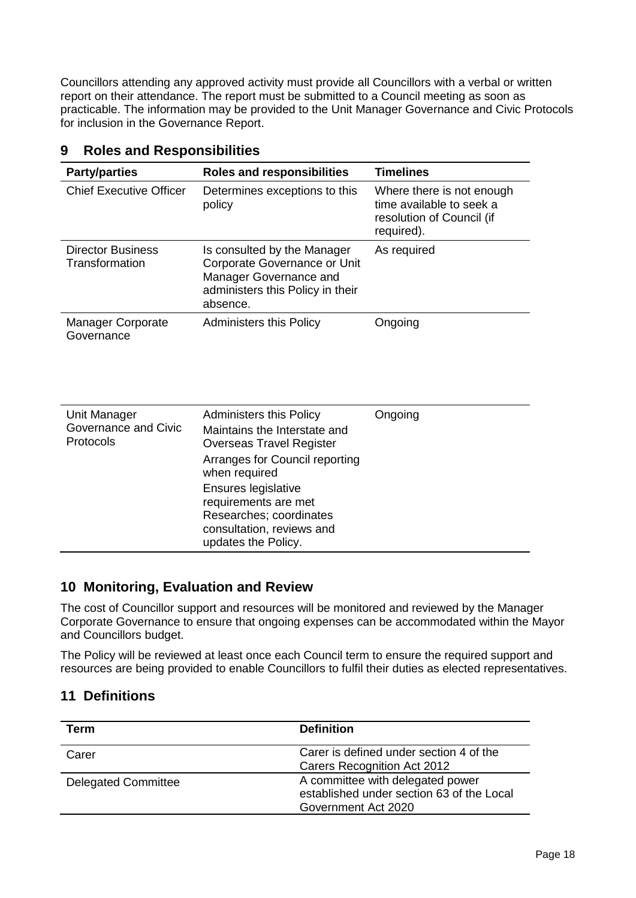Councillors attending any approved activity must provide all Councillors with a verbal or written report on their attendance. The report must be submitted to a Council meeting as soon as practicable. The information may be provided to the Unit Manager Governance and Civic Protocols for inclusion in the Governance Report.

| <b>Party/parties</b>                              | <b>Roles and responsibilities</b>                                                                                                                                                                                                                                                  | <b>Timelines</b>                                                                                 |
|---------------------------------------------------|------------------------------------------------------------------------------------------------------------------------------------------------------------------------------------------------------------------------------------------------------------------------------------|--------------------------------------------------------------------------------------------------|
| <b>Chief Executive Officer</b>                    | Determines exceptions to this<br>policy                                                                                                                                                                                                                                            | Where there is not enough<br>time available to seek a<br>resolution of Council (if<br>required). |
| <b>Director Business</b><br>Transformation        | Is consulted by the Manager<br>Corporate Governance or Unit<br>Manager Governance and<br>administers this Policy in their<br>absence.                                                                                                                                              | As required                                                                                      |
| <b>Manager Corporate</b><br>Governance            | <b>Administers this Policy</b>                                                                                                                                                                                                                                                     | Ongoing                                                                                          |
| Unit Manager<br>Governance and Civic<br>Protocols | <b>Administers this Policy</b><br>Maintains the Interstate and<br><b>Overseas Travel Register</b><br>Arranges for Council reporting<br>when required<br>Ensures legislative<br>requirements are met<br>Researches; coordinates<br>consultation, reviews and<br>updates the Policy. | Ongoing                                                                                          |

## **9 Roles and Responsibilities**

## **10 Monitoring, Evaluation and Review**

The cost of Councillor support and resources will be monitored and reviewed by the Manager Corporate Governance to ensure that ongoing expenses can be accommodated within the Mayor and Councillors budget.

The Policy will be reviewed at least once each Council term to ensure the required support and resources are being provided to enable Councillors to fulfil their duties as elected representatives.

## **11 Definitions**

| Term                       | <b>Definition</b>                                                                                    |
|----------------------------|------------------------------------------------------------------------------------------------------|
| Carer                      | Carer is defined under section 4 of the<br>Carers Recognition Act 2012                               |
| <b>Delegated Committee</b> | A committee with delegated power<br>established under section 63 of the Local<br>Government Act 2020 |